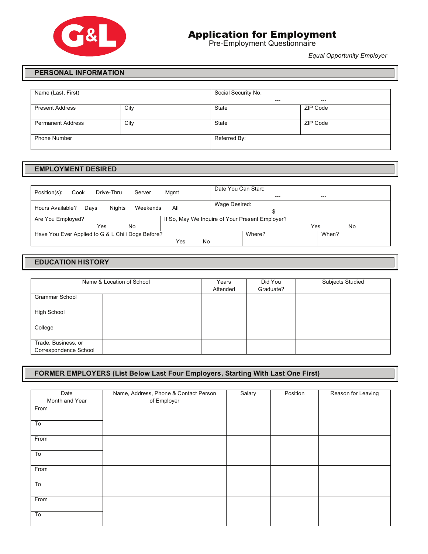

# Application for Employment

Pre-Employment Questionnaire

*Equal Opportunity Employer*

#### **PERSONAL INFORMATION**

| Name (Last, First)       |      | Social Security No. |          |  |
|--------------------------|------|---------------------|----------|--|
|                          |      | $---$               | $---$    |  |
| <b>Present Address</b>   | City | State               | ZIP Code |  |
| <b>Permanent Address</b> | City | State               | ZIP Code |  |
| <b>Phone Number</b>      |      | Referred By:        |          |  |

#### **EMPLOYMENT DESIRED**

| Position(s):<br>Drive-Thru<br>Server<br>Cook      | Mgmt | Date You Can Start: | $- - -$                                         |     |       |
|---------------------------------------------------|------|---------------------|-------------------------------------------------|-----|-------|
| Hours Available?<br>Niahts<br>Weekends<br>Days    | All  | Wage Desired:       |                                                 |     |       |
| Are You Employed?                                 |      |                     | If So, May We Inquire of Your Present Employer? |     |       |
| <b>No</b><br>Yes                                  |      |                     |                                                 | Yes | No    |
| Have You Ever Applied to G & L Chili Dogs Before? |      |                     | Where?                                          |     | When? |
|                                                   | Yes  | No                  |                                                 |     |       |

## **EDUCATION HISTORY**

|                                              | Name & Location of School | Years<br>Attended | Did You<br>Graduate? | <b>Subjects Studied</b> |
|----------------------------------------------|---------------------------|-------------------|----------------------|-------------------------|
| <b>Grammar School</b>                        |                           |                   |                      |                         |
| <b>High School</b>                           |                           |                   |                      |                         |
| College                                      |                           |                   |                      |                         |
| Trade, Business, or<br>Correspondence School |                           |                   |                      |                         |

### **FORMER EMPLOYERS (List Below Last Four Employers, Starting With Last One First)**

| Date           | Name, Address, Phone & Contact Person | Salary | Position | Reason for Leaving |
|----------------|---------------------------------------|--------|----------|--------------------|
| Month and Year | of Employer                           |        |          |                    |
| From           |                                       |        |          |                    |
| To             |                                       |        |          |                    |
| From           |                                       |        |          |                    |
| To             |                                       |        |          |                    |
| From           |                                       |        |          |                    |
| To             |                                       |        |          |                    |
| From           |                                       |        |          |                    |
| To             |                                       |        |          |                    |